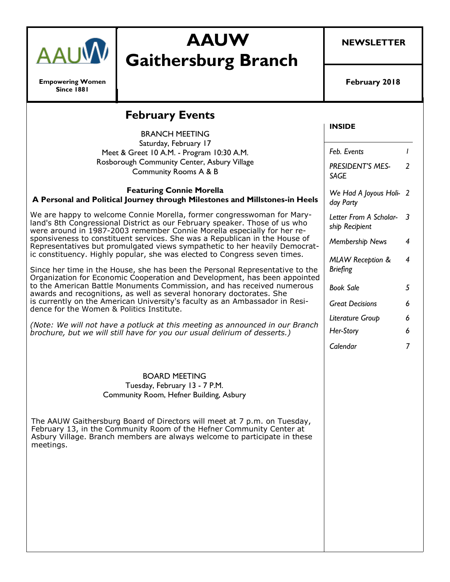

**Empowering Women Since 1881**

# **AAUW Gaithersburg Branch**

**NEWSLETTER**

**February 2018**

| <b>February Events</b>                                                                                                                                                                                                                                                                                                                                                                                                                                                                                                                                                                                                                                                                                                                                                                                                                                                                                              |                                                |                |
|---------------------------------------------------------------------------------------------------------------------------------------------------------------------------------------------------------------------------------------------------------------------------------------------------------------------------------------------------------------------------------------------------------------------------------------------------------------------------------------------------------------------------------------------------------------------------------------------------------------------------------------------------------------------------------------------------------------------------------------------------------------------------------------------------------------------------------------------------------------------------------------------------------------------|------------------------------------------------|----------------|
| <b>BRANCH MEETING</b>                                                                                                                                                                                                                                                                                                                                                                                                                                                                                                                                                                                                                                                                                                                                                                                                                                                                                               | <b>INSIDE</b>                                  |                |
| Saturday, February 17<br>Meet & Greet 10 A.M. - Program 10:30 A.M.                                                                                                                                                                                                                                                                                                                                                                                                                                                                                                                                                                                                                                                                                                                                                                                                                                                  | Feb. Events                                    | $\mathbf{I}$   |
| Rosborough Community Center, Asbury Village<br><b>Community Rooms A &amp; B</b>                                                                                                                                                                                                                                                                                                                                                                                                                                                                                                                                                                                                                                                                                                                                                                                                                                     | PRESIDENT'S MES-<br><b>SAGE</b>                | $\overline{2}$ |
| <b>Featuring Connie Morella</b><br>A Personal and Political Journey through Milestones and Millstones-in Heels                                                                                                                                                                                                                                                                                                                                                                                                                                                                                                                                                                                                                                                                                                                                                                                                      | We Had A Joyous Holi- 2<br>day Party           |                |
| We are happy to welcome Connie Morella, former congresswoman for Mary-<br>land's 8th Congressional District as our February speaker. Those of us who<br>were around in 1987-2003 remember Connie Morella especially for her re-<br>sponsiveness to constituent services. She was a Republican in the House of<br>Representatives but promulgated views sympathetic to her heavily Democrat-<br>ic constituency. Highly popular, she was elected to Congress seven times.<br>Since her time in the House, she has been the Personal Representative to the<br>Organization for Economic Cooperation and Development, has been appointed<br>to the American Battle Monuments Commission, and has received numerous<br>awards and recognitions, as well as several honorary doctorates. She<br>is currently on the American University's faculty as an Ambassador in Resi-<br>dence for the Women & Politics Institute. | Letter From A Scholar- 3<br>ship Recipient     |                |
|                                                                                                                                                                                                                                                                                                                                                                                                                                                                                                                                                                                                                                                                                                                                                                                                                                                                                                                     | Membership News                                | 4              |
|                                                                                                                                                                                                                                                                                                                                                                                                                                                                                                                                                                                                                                                                                                                                                                                                                                                                                                                     | <b>MLAW Reception &amp;</b><br><b>Briefing</b> | $\overline{4}$ |
|                                                                                                                                                                                                                                                                                                                                                                                                                                                                                                                                                                                                                                                                                                                                                                                                                                                                                                                     | <b>Book Sale</b>                               | 5              |
|                                                                                                                                                                                                                                                                                                                                                                                                                                                                                                                                                                                                                                                                                                                                                                                                                                                                                                                     | <b>Great Decisions</b>                         | 6              |
| (Note: We will not have a potluck at this meeting as announced in our Branch                                                                                                                                                                                                                                                                                                                                                                                                                                                                                                                                                                                                                                                                                                                                                                                                                                        | Literature Group                               | 6              |
| brochure, but we will still have for you our usual delirium of desserts.)                                                                                                                                                                                                                                                                                                                                                                                                                                                                                                                                                                                                                                                                                                                                                                                                                                           | Her-Story                                      | 6              |
|                                                                                                                                                                                                                                                                                                                                                                                                                                                                                                                                                                                                                                                                                                                                                                                                                                                                                                                     | Calendar                                       | $\overline{7}$ |
| <b>BOARD MEETING</b><br>Tuesday, February 13 - 7 P.M.<br>Community Room, Hefner Building, Asbury                                                                                                                                                                                                                                                                                                                                                                                                                                                                                                                                                                                                                                                                                                                                                                                                                    |                                                |                |
| The AAUW Gaithersburg Board of Directors will meet at 7 p.m. on Tuesday,<br>February 13, in the Community Room of the Hefner Community Center at<br>Asbury Village. Branch members are always welcome to participate in these<br>meetings.                                                                                                                                                                                                                                                                                                                                                                                                                                                                                                                                                                                                                                                                          |                                                |                |
|                                                                                                                                                                                                                                                                                                                                                                                                                                                                                                                                                                                                                                                                                                                                                                                                                                                                                                                     |                                                |                |
|                                                                                                                                                                                                                                                                                                                                                                                                                                                                                                                                                                                                                                                                                                                                                                                                                                                                                                                     |                                                |                |
|                                                                                                                                                                                                                                                                                                                                                                                                                                                                                                                                                                                                                                                                                                                                                                                                                                                                                                                     |                                                |                |
|                                                                                                                                                                                                                                                                                                                                                                                                                                                                                                                                                                                                                                                                                                                                                                                                                                                                                                                     |                                                |                |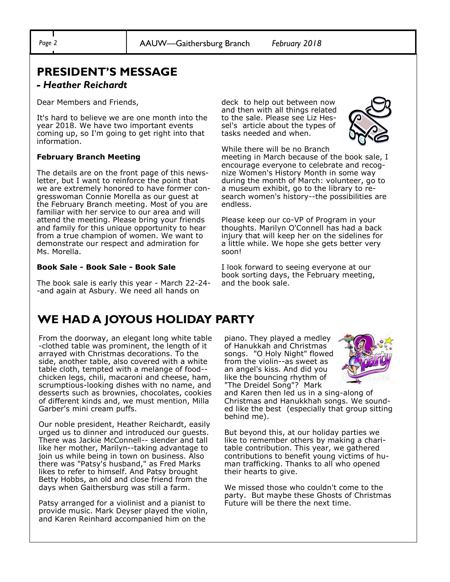## **PRESIDENT'S MESSAGE**

#### *- Heather Reichardt*

Dear Members and Friends,

It's hard to believe we are one month into the year 2018. We have two important events coming up, so I'm going to get right into that information.

#### **February Branch Meeting**

The details are on the front page of this newsletter, but I want to reinforce the point that we are extremely honored to have former congresswoman Connie Morella as our guest at the February Branch meeting. Most of you are familiar with her service to our area and will attend the meeting. Please bring your friends and family for this unique opportunity to hear from a true champion of women. We want to demonstrate our respect and admiration for Ms. Morella.

#### **Book Sale - Book Sale - Book Sale**

The book sale is early this year - March 22-24- -and again at Asbury. We need all hands on

deck to help out between now and then with all things related to the sale. Please see Liz Hessel's article about the types of tasks needed and when.



While there will be no Branch meeting in March because of the book sale, I encourage everyone to celebrate and recognize Women's History Month in some way during the month of March: volunteer, go to a museum exhibit, go to the library to research women's history--the possibilities are endless.

Please keep our co-VP of Program in your thoughts. Marilyn O'Connell has had a back injury that will keep her on the sidelines for a little while. We hope she gets better very soon!

I look forward to seeing everyone at our book sorting days, the February meeting, and the book sale.

## **WE HAD A JOYOUS HOLIDAY PARTY**

From the doorway, an elegant long white table -clothed table was prominent, the length of it arrayed with Christmas decorations. To the side, another table, also covered with a white table cloth, tempted with a melange of food- chicken legs, chili, macaroni and cheese, ham, scrumptious-looking dishes with no name, and desserts such as brownies, chocolates, cookies of different kinds and, we must mention, Milla Garber's mini cream puffs.

Our noble president, Heather Reichardt, easily urged us to dinner and introduced our guests. There was Jackie McConnell-- slender and tall like her mother, Marilyn--taking advantage to join us while being in town on business. Also there was "Patsy's husband," as Fred Marks likes to refer to himself. And Patsy brought Betty Hobbs, an old and close friend from the days when Gaithersburg was still a farm.

Patsy arranged for a violinist and a pianist to provide music. Mark Deyser played the violin, and Karen Reinhard accompanied him on the

piano. They played a medley of Hanukkah and Christmas songs. "O Holy Night" flowed from the violin--as sweet as an angel's kiss. And did you like the bouncing rhythm of "The Dreidel Song"? Mark



and Karen then led us in a sing-along of Christmas and Hanukkhah songs. We sounded like the best (especially that group sitting behind me).

But beyond this, at our holiday parties we like to remember others by making a charitable contribution. This year, we gathered contributions to benefit young victims of human trafficking. Thanks to all who opened their hearts to give.

We missed those who couldn't come to the party. But maybe these Ghosts of Christmas Future will be there the next time.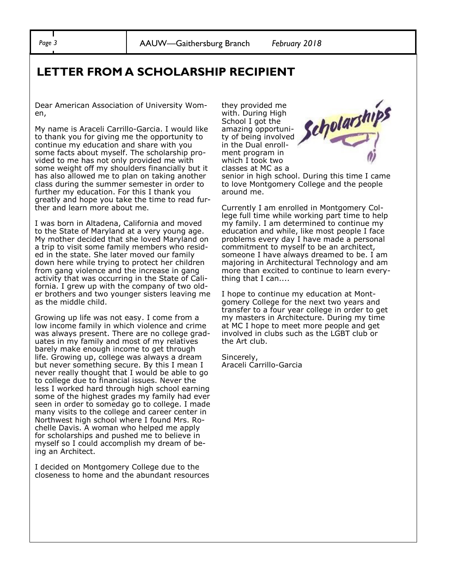*Page 3* AAUW—Gaithersburg Branch *February 2018*

### **LETTER FROM A SCHOLARSHIP RECIPIENT**

Dear American Association of University Women,

My name is Araceli Carrillo-Garcia. I would like to thank you for giving me the opportunity to continue my education and share with you some facts about myself. The scholarship provided to me has not only provided me with some weight off my shoulders financially but it has also allowed me to plan on taking another class during the summer semester in order to further my education. For this I thank you greatly and hope you take the time to read further and learn more about me.

I was born in Altadena, California and moved to the State of Maryland at a very young age. My mother decided that she loved Maryland on a trip to visit some family members who resided in the state. She later moved our family down here while trying to protect her children from gang violence and the increase in gang activity that was occurring in the State of California. I grew up with the company of two older brothers and two younger sisters leaving me as the middle child.

Growing up life was not easy. I come from a low income family in which violence and crime was always present. There are no college graduates in my family and most of my relatives barely make enough income to get through life. Growing up, college was always a dream but never something secure. By this I mean I never really thought that I would be able to go to college due to financial issues. Never the less I worked hard through high school earning some of the highest grades my family had ever seen in order to someday go to college. I made many visits to the college and career center in Northwest high school where I found Mrs. Rochelle Davis. A woman who helped me apply for scholarships and pushed me to believe in myself so I could accomplish my dream of being an Architect.

I decided on Montgomery College due to the closeness to home and the abundant resources they provided me with. During High School I got the amazing opportunity of being involved in the Dual enrollment program in which I took two classes at MC as a



senior in high school. During this time I came to love Montgomery College and the people around me.

Currently I am enrolled in Montgomery College full time while working part time to help my family. I am determined to continue my education and while, like most people I face problems every day I have made a personal commitment to myself to be an architect, someone I have always dreamed to be. I am majoring in Architectural Technology and am more than excited to continue to learn everything that I can....

I hope to continue my education at Montgomery College for the next two years and transfer to a four year college in order to get my masters in Architecture. During my time at MC I hope to meet more people and get involved in clubs such as the LGBT club or the Art club.

Sincerely, Araceli Carrillo-Garcia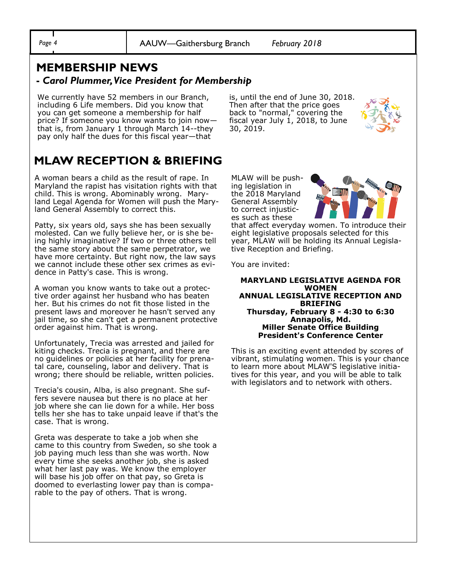*Page 4* AAUW—Gaithersburg Branch *February 2018*

### **MEMBERSHIP NEWS -** *Carol Plummer, Vice President for Membership*

We currently have 52 members in our Branch, including 6 Life members. Did you know that you can get someone a membership for half price? If someone you know wants to join now that is, from January 1 through March 14--they pay only half the dues for this fiscal year—that

**MLAW RECEPTION & BRIEFING** 

A woman bears a child as the result of rape. In Maryland the rapist has visitation rights with that child. This is wrong. Abominably wrong. Maryland Legal Agenda for Women will push the Maryland General Assembly to correct this.

Patty, six years old, says she has been sexually molested. Can we fully believe her, or is she being highly imaginative? If two or three others tell the same story about the same perpetrator, we have more certainty. But right now, the law says we cannot include these other sex crimes as evidence in Patty's case. This is wrong.

A woman you know wants to take out a protective order against her husband who has beaten her. But his crimes do not fit those listed in the present laws and moreover he hasn't served any jail time, so she can't get a permanent protective order against him. That is wrong.

Unfortunately, Trecia was arrested and jailed for kiting checks. Trecia is pregnant, and there are no guidelines or policies at her facility for prenatal care, counseling, labor and delivery. That is wrong; there should be reliable, written policies.

Trecia's cousin, Alba, is also pregnant. She suffers severe nausea but there is no place at her job where she can lie down for a while. Her boss tells her she has to take unpaid leave if that's the case. That is wrong.

Greta was desperate to take a job when she came to this country from Sweden, so she took a job paying much less than she was worth. Now every time she seeks another job, she is asked what her last pay was. We know the employer will base his job offer on that pay, so Greta is doomed to everlasting lower pay than is comparable to the pay of others. That is wrong.

is, until the end of June 30, 2018. Then after that the price goes back to "normal," covering the fiscal year July 1, 2018, to June 30, 2019.



MLAW will be pushing legislation in the 2018 Maryland General Assembly to correct injustices such as these



that affect everyday women. To introduce their eight legislative proposals selected for this year, MLAW will be holding its Annual Legislative Reception and Briefing.

You are invited:

**MARYLAND LEGISLATIVE AGENDA FOR WOMEN ANNUAL LEGISLATIVE RECEPTION AND BRIEFING Thursday, February 8 - 4:30 to 6:30 Annapolis, Md. Miller Senate Office Building President's Conference Center**

This is an exciting event attended by scores of vibrant, stimulating women. This is your chance to learn more about MLAW'S legislative initiatives for this year, and you will be able to talk with legislators and to network with others.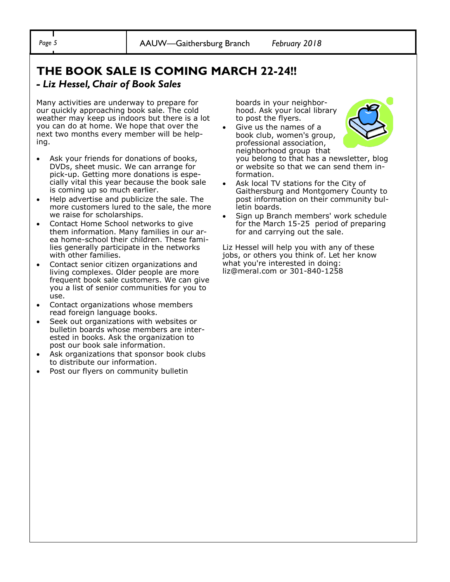# **THE BOOK SALE IS COMING MARCH 22-24!!**

### *- Liz Hessel, Chair of Book Sales*

Many activities are underway to prepare for our quickly approaching book sale. The cold weather may keep us indoors but there is a lot you can do at home. We hope that over the next two months every member will be helping.

- Ask your friends for donations of books, DVDs, sheet music. We can arrange for pick-up. Getting more donations is especially vital this year because the book sale is coming up so much earlier.
- Help advertise and publicize the sale. The more customers lured to the sale, the more we raise for scholarships.
- Contact Home School networks to give them information. Many families in our area home-school their children. These families generally participate in the networks with other families.
- Contact senior citizen organizations and living complexes. Older people are more frequent book sale customers. We can give you a list of senior communities for you to use.
- Contact organizations whose members read foreign language books.
- Seek out organizations with websites or bulletin boards whose members are interested in books. Ask the organization to post our book sale information.
- Ask organizations that sponsor book clubs to distribute our information.
- Post our flyers on community bulletin

boards in your neighborhood. Ask your local library to post the flyers.

• Give us the names of a book club, women's group, professional association, neighborhood group that



you belong to that has a newsletter, blog or website so that we can send them information.

- Ask local TV stations for the City of Gaithersburg and Montgomery County to post information on their community bulletin boards.
- Sign up Branch members' work schedule for the March 15-25 period of preparing for and carrying out the sale.

Liz Hessel will help you with any of these jobs, or others you think of. Let her know what you're interested in doing: liz@meral.com or 301-840-1258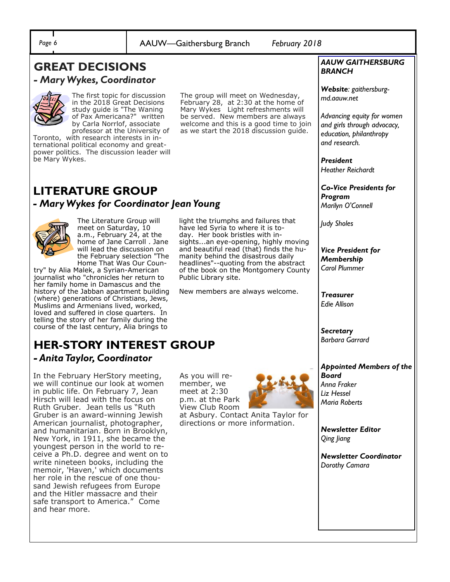*Page 6* AAUW—Gaithersburg Branch *February 2018*

### **GREAT DECISIONS**  *- Mary Wykes, Coordinator*



The first topic for discussion in the 2018 Great Decisions study guide is "The Waning of Pax Americana?" written by Carla Norrlof, associate professor at the University of

Toronto, with research interests in international political economy and greatpower politics. The discussion leader will be Mary Wykes.

The group will meet on Wednesday, February 28, at 2:30 at the home of Mary Wykes Light refreshments will be served. New members are always welcome and this is a good time to join as we start the 2018 discussion guide.

### **LITERATURE GROUP** *- Mary Wykes for Coordinator Jean Young*



The Literature Group will meet on Saturday, 10 a.m., February 24, at the home of Jane Carroll . Jane will lead the discussion on the February selection "The Home That Was Our Coun-

try" by Alia Malek, a Syrian-American journalist who "chronicles her return to her family home in Damascus and the history of the Jabban apartment building (where) generations of Christians, Jews, Muslims and Armenians lived, worked, loved and suffered in close quarters. In telling the story of her family during the course of the last century, Alia brings to

# **HER-STORY INTEREST GROUP**

*- Anita Taylor, Coordinator* 

In the February HerStory meeting, we will continue our look at women in public life. On February 7, Jean Hirsch will lead with the focus on Ruth Gruber. Jean tells us "Ruth Gruber is an award-winning Jewish American journalist, photographer, and humanitarian. Born in Brooklyn, New York, in 1911, she became the youngest person in the world to receive a Ph.D. degree and went on to write nineteen books, including the memoir, 'Haven,' which documents her role in the rescue of one thousand Jewish refugees from Europe and the Hitler massacre and their safe transport to America." Come and hear more.

light the triumphs and failures that have led Syria to where it is today. Her book bristles with insights...an eye-opening, highly moving and beautiful read (that) finds the humanity behind the disastrous daily headlines"--quoting from the abstract of the book on the Montgomery County Public Library site.

New members are always welcome.

As you will remember, we meet at 2:30 p.m. at the Park View Club Room



at Asbury. Contact Anita Taylor for directions or more information.

#### *AAUW GAITHERSBURG BRANCH*

*Website: gaithersburgmd.aauw.net* 

*Advancing equity for women and girls through advocacy, education, philanthropy and research.*

*President Heather Reichardt*

*Co-Vice Presidents for Program Marilyn O'Connell*

*Judy Sholes*

*Vice President for Membership Carol Plummer*

*Treasurer Edie Allison*

*Secretary Barbara Garrard*

### *Appointed Members of the Board*

*Anna Fraker Liz Hessel Maria Roberts*

*Newsletter Editor Qing Jiang*

*Newsletter Coordinator Dorothy Camara*